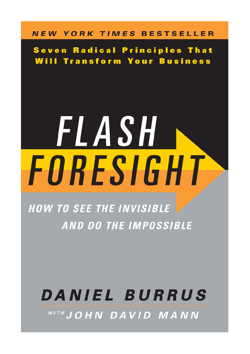NEW YORK TIMES BESTSELLER

**Seven Radical Principles That Will Transform Your Business** 

# FLASH N FORESIGHT

**HOW TO SEE THE INVISIBLE AND DO THE IMPOSSIBLE** 

## DANIEL BURRUS WITH JOHN DAVID MANN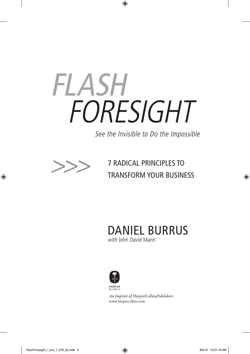## FLASH FORESIGHT

See the Invisible to Do the Impossible



### 7 RADICAL PRINCIPLES TO TRANSFORM YOUR BUSINESS

DANIEL BURRUS

with John David Mann



An Imprint of HarperCollinsPublishers www.harpercollins.com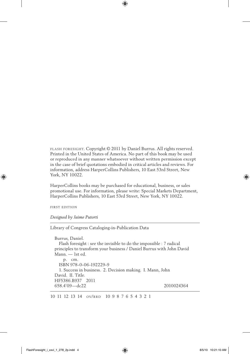FLASH FORESIGHT. Copyright © 2011 by Daniel Burrus. All rights reserved. Printed in the United States of America. No part of this book may be used or reproduced in any manner whatsoever without written permission except in the case of brief quotations embodied in critical articles and reviews. For information, address Harper Collins Publishers, 10 East 53rd Street, New York, NY 10022.

Harper Collins books may be purchased for educational, business, or sales promotional use. For information, please write: Special Markets Department, Harper Collins Publishers, 10 East 53rd Street, New York, NY 10022.

FIRST EDITION

*Designed by Jaime Putorti*

Library of Congress Cataloging-in-Publication Data

```
Burrus, Daniel.
  Flash foresight : see the invisible to do the impossible : 7 radical 
principles to transform your business / Daniel Burrus with John David 
Mann. — 1st ed.
     p. cm.
  ISBN 978-0-06-192229-9
  1. Success in business. 2. Decision making. I. Mann, John 
David. II. Title.
HF5386.B937 2011
658.4'09—dc22 2010024364
```
10 11 12 13 14 OV/RRD 10 9 8 7 6 5 4 3 2 1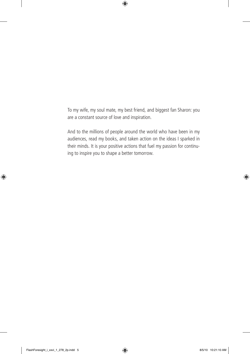To my wife, my soul mate, my best friend, and biggest fan Sharon: you are a constant source of love and inspiration.

And to the millions of people around the world who have been in my audiences, read my books, and taken action on the ideas I sparked in their minds. It is your positive actions that fuel my passion for continuing to inspire you to shape a better tomorrow.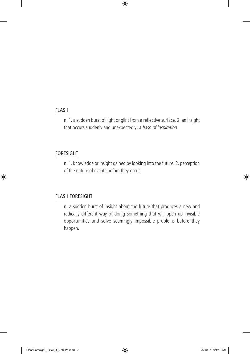#### FLASH

n. 1. a sudden burst of light or glint from a reflective surface. 2. an insight that occurs suddenly and unexpectedly: a flash of inspiration.

#### FORESIGHT

n. 1. knowledge or insight gained by looking into the future. 2. perception of the nature of events before they occur.

#### FLASH FORESIGHT

n. a sudden burst of insight about the future that produces a new and radically different way of doing something that will open up invisible opportunities and solve seemingly impossible problems before they happen.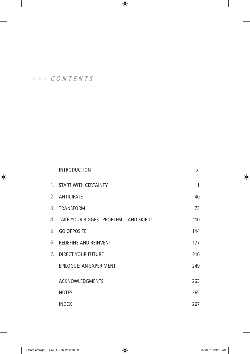#### $>>$  CONTENTS

| <b>INTRODUCTION</b>                      | xi  |
|------------------------------------------|-----|
| 1. START WITH CERTAINTY                  | 1   |
| 2. ANTICIPATE                            | 40  |
| 3. TRANSFORM                             | 73  |
| 4. TAKE YOUR BIGGEST PROBLEM-AND SKIP IT | 110 |
| 5. GO OPPOSITE                           | 144 |
| 6. REDEFINE AND REINVENT                 | 177 |
| 7. DIRECT YOUR FUTURE                    | 216 |
| EPILOGUE: AN EXPERIMENT                  | 249 |
| <b>ACKNOWLEDGMENTS</b>                   | 263 |
| <b>NOTES</b>                             | 265 |
| <b>INDEX</b>                             | 267 |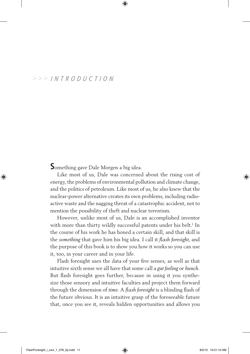**S**omething gave Dale Morgen a big idea.

Like most of us, Dale was concerned about the rising cost of energy, the problems of environmental pollution and climate change, and the politics of petroleum. Like most of us, he also knew that the nuclear-power alternative creates its own problems, including radioactive waste and the nagging threat of a catastrophic accident, not to mention the possibility of theft and nuclear terrorism.

However, unlike most of us, Dale is an accomplished inventor with more than thirty wildly successful patents under his belt. $^1$  In the course of his work he has honed a certain skill, and that skill is the *something* that gave him his big idea. I call it *!ash foresight*, and the purpose of this book is to show you how it works so you can use it, too, in your career and in your life.

Flash foresight uses the data of your five senses, as well as that intuitive sixth sense we all have that some call a *gut feeling* or *hunch*. But flash foresight goes further, because in using it you synthesize those sensory and intuitive faculties and project them forward through the dimension of *time*. A *flash foresight* is a blinding flash of the future obvious. It is an intuitive grasp of the foreseeable future that, once you see it, reveals hidden opportunities and allows you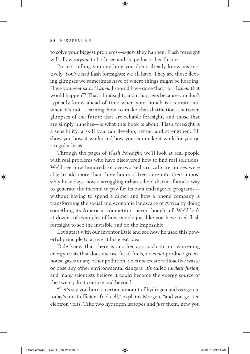to solve your biggest problems—*before* they happen. Flash foresight will allow *anyone* to both see and shape his or her future.

I'm not telling you anything you don't already know instinctively. You've had flash foresights; we all have. They are those fleeting glimpses we sometimes have of where things might be heading. Have you ever said, "I *knew* I should have done that," or "I *knew* that would happen"? That's hindsight, and it happens because you don't typically know ahead of time when your hunch is accurate and when it's not. Learning how to make that distinction—between glimpses of the future that are reliable foresight, and those that are simply hunches—is what this book is about. Flash foresight is a sensibility, a skill you can develop, refine, and strengthen. I'll show you how it works and how you can make it work for you on a regular basis.

Through the pages of *Flash Foresight*, we'll look at real people with real problems who have discovered how to find real solutions. We'll see how hundreds of overworked critical care nurses were able to add more than three hours of free time into their impossibly busy days; how a struggling urban school district found a way to generate the income to pay for its own endangered programs without having to spend a dime; and how a phone company is transforming the social and economic landscape of Africa by doing something its American competitors never thought of. We'll look at dozens of examples of how people just like you have used flash foresight to see the invisible and do the impossible.

Let's start with our inventor Dale and see how he used this powerful principle to arrive at his great idea.

Dale knew that there is another approach to our worsening energy crisis that does *not* use fossil fuels, does *not* produce greenhouse gases or any other pollution, does *not* create radioactive waste or pose any other environmental dangers. It's called *nuclear fusion*, and many scientists believe it could become the energy source of the twenty-first century and beyond.

"Let's say you burn a certain amount of hydrogen and oxygen in today's most efficient fuel cell," explains Morgen, "and you get ten electron volts. Take two hydrogen isotopes and *fuse* them, now you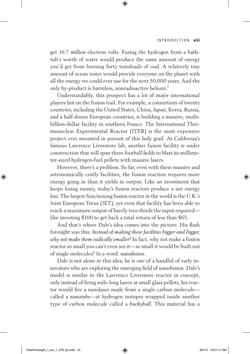get 16.7 *million* electron volts. Fusing the hydrogen from a bathtub's worth of water would produce the same amount of energy you'd get from burning forty trainloads of coal. A relatively tiny amount of ocean water would provide everyone on the planet with all the energy we could ever use for the next 50,000 years. And the only by-product is harmless, nonradioactive helium."

Understandably, this prospect has a lot of major international players hot on the fusion trail. For example, a consortium of twenty countries, including the United States, China, Japan, Korea, Russia, and a half-dozen European countries, is building a massive, multibillion-dollar facility in southern France. The International Thermonuclear Experimental Reactor (ITER) is the most expensive project ever mounted in pursuit of this holy grail. At California's famous Lawrence Livermore lab, another fusion facility is under construction that will span three football fields to blast its millimeter-sized hydrogen-fuel pellets with massive lasers.

However, there's a problem. So far, even with these massive and astronomically costly facilities, the fusion reaction requires more energy going in than it yields in output. Like an investment that keeps losing money, today's fusion reactors produce a net energy *loss*. The largest functioning fusion reactor in the world is the U.K.'s Joint European Torus (JET), yet even that facility has been able to reach a maximum output of barely two-thirds the input required like investing \$100 to get back a total return of less than \$65.

And that's where Dale's idea comes into the picture. His flash foresight was this: *Instead of making these facilities bigger and bigger, why not make them radically smaller?* In fact, why not make a fusion reactor so small you can't even see it—so small it would be built out of single molecules? In a word: *nanofusion*.

Dale is not alone in this idea; he is one of a handful of early innovators who are exploring the emerging field of nanofusion. Dale's model is similar to the Lawrence Livermore reactor in concept, only instead of firing mile-long lasers at small glass pellets, his reactor would fire a nanolaser made from a single carbon molecule called a *nanotube*—at hydrogen isotopes wrapped inside another type of carbon molecule called a *buckyball*. This material has a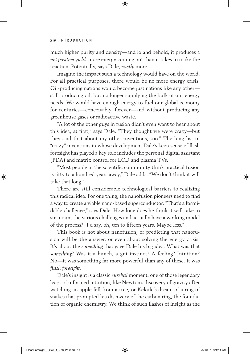much higher purity and density—and lo and behold, it produces a *net positive yield*: more energy coming out than it takes to make the reaction. Potentially, says Dale, *vastly* more.

Imagine the impact such a technology would have on the world. For all practical purposes, there would be no more energy crisis. Oil-producing nations would become just nations like any other still producing oil, but no longer supplying the bulk of our energy needs. We would have enough energy to fuel our global economy for centuries—conceivably, forever—and without producing any greenhouse gases or radioactive waste.

"A lot of the other guys in fusion didn't even want to hear about this idea, at first," says Dale. "They thought we were crazy-but they said that about my other inventions, too." The long list of "crazy" inventions in whose development Dale's keen sense of flash foresight has played a key role includes the personal digital assistant (PDA) and matrix control for LCD and plasma TVs.

"Most people in the scientific community think practical fusion is fifty to a hundred years away," Dale adds. "We don't think it will take that long."

There are still considerable technological barriers to realizing this radical idea. For one thing, the nanofusion pioneers need to find a way to create a viable nano-based superconductor. "That's a formidable challenge," says Dale. How long does he think it will take to surmount the various challenges and actually have a working model of the process? "I'd say, oh, ten to fifteen years. Maybe less."

This book is not about nanofusion, or predicting that nanofusion will be the answer, or even about solving the energy crisis. It's about the *something* that gave Dale his big idea. What was that *something*? Was it a hunch, a gut instinct? A feeling? Intuition? No—it was something far more powerful than any of these. It was *!ash foresight*.

Dale's insight is a classic *eureka!* moment, one of those legendary leaps of informed intuition, like Newton's discovery of gravity after watching an apple fall from a tree, or Kekulé's dream of a ring of snakes that prompted his discovery of the carbon ring, the foundation of organic chemistry. We think of such flashes of insight as the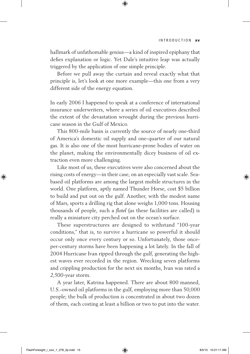hallmark of unfathomable genius—a kind of inspired epiphany that defies explanation or logic. Yet Dale's intuitive leap was actually triggered by the application of one simple principle.

Before we pull away the curtain and reveal exactly what that principle is, let's look at one more example—this one from a very different side of the energy equation.

In early 2006 I happened to speak at a conference of international insurance underwriters, where a series of oil executives described the extent of the devastation wrought during the previous hurricane season in the Gulf of Mexico.

This 800-mile basin is currently the source of nearly one-third of America's domestic oil supply and one-quarter of our natural gas. It is also one of the most hurricane-prone bodies of water on the planet, making the environmentally dicey business of oil extraction even more challenging.

Like most of us, these executives were also concerned about the rising costs of energy—in their case, on an especially vast scale. Seabased oil platforms are among the largest mobile structures in the world. One platform, aptly named Thunder Horse, cost \$5 billion to build and put out on the gulf. Another, with the modest name of Mars, sports a drilling rig that alone weighs 1,000 tons. Housing thousands of people, such a *!otel* (as these facilities are called) is really a miniature city perched out on the ocean's surface.

These superstructures are designed to withstand "100-year conditions," that is, to survive a hurricane so powerful it should occur only once every century or so. Unfortunately, those onceper-century storms have been happening a lot lately. In the fall of 2004 Hurricane Ivan ripped through the gulf, generating the highest waves ever recorded in the region. Wrecking seven platforms and crippling production for the next six months, Ivan was rated a *2,500*-year storm.

A year later, Katrina happened. There are about 800 manned, U.S.-owned oil platforms in the gulf, employing more than 50,000 people; the bulk of production is concentrated in about two dozen of them, each costing at least a billion or two to put into the water.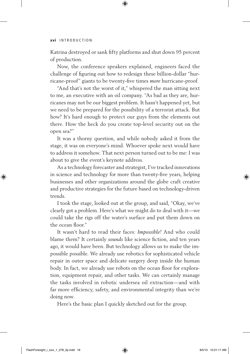Katrina destroyed or sank fifty platforms and shut down 95 percent of production.

Now, the conference speakers explained, engineers faced the challenge of figuring out how to redesign these billion-dollar "hurricane-proof" giants to be twenty-five times *more* hurricane-proof.

"And that's not the worst of it," whispered the man sitting next to me, an executive with an oil company. "As bad as they are, hurricanes may not be our biggest problem. It hasn't happened yet, but we need to be prepared for the possibility of a terrorist attack. But how? It's hard enough to protect our guys from the elements out there. How the heck do you create top-level security out on the open sea?"

It was a thorny question, and while nobody asked it from the stage, it was on everyone's mind. Whoever spoke next would have to address it somehow. That next person turned out to be me: I was about to give the event's keynote address.

As a technology forecaster and strategist, I've tracked innovations in science and technology for more than twenty-five years, helping businesses and other organizations around the globe craft creative and productive strategies for the future based on technology-driven trends.

I took the stage, looked out at the group, and said, "Okay, we've clearly got a problem. Here's what we might do to deal with it—we could take the rigs off the water's surface and put them down on the ocean floor."

It wasn't hard to read their faces: *Impossible!* And who could blame them? It certainly *sounds* like science fiction, and ten years ago, it would have been. But technology allows us to make the impossible possible. We already use robotics for sophisticated vehicle repair in outer space and delicate surgery deep inside the human body. In fact, we already use robots on the ocean floor for exploration, equipment repair, and other tasks. We can certainly manage the tasks involved in robotic undersea oil extraction—and with far more efficiency, safety, and environmental integrity than we're doing now.

Here's the basic plan I quickly sketched out for the group.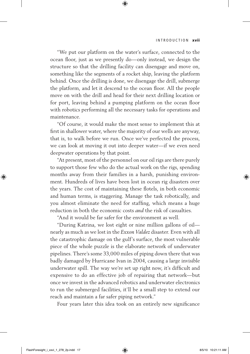"We put our platform on the water's surface, connected to the ocean floor, just as we presently do—only instead, we design the structure so that the drilling facility can disengage and move on, something like the segments of a rocket ship, leaving the platform behind. Once the drilling is done, we disengage the drill, submerge the platform, and let it descend to the ocean floor. All the people move on with the drill and head for their next drilling location or for port, leaving behind a pumping platform on the ocean floor with robotics performing all the necessary tasks for operations and maintenance.

"Of course, it would make the most sense to implement this at first in shallower water, where the majority of our wells are anyway, that is, to walk before we run. Once we've perfected the process, we can look at moving it out into deeper water—if we even need deepwater operations by that point.

"At present, most of the personnel on our oil rigs are there purely to support those few who do the actual work on the rigs, spending months away from their families in a harsh, punishing environment. Hundreds of lives have been lost in ocean rig disasters over the years. The cost of maintaining these flotels, in both economic and human terms, is staggering. Manage the task robotically, and you almost eliminate the need for staffing, which means a huge reduction in both the economic costs *and* the risk of casualties.

"And it would be far safer for the environment as well.

"During Katrina, we lost eight or nine million gallons of oil nearly as much as we lost in the *Exxon Valdez* disaster. Even with all the catastrophic damage on the gulf's surface, the most vulnerable piece of the whole puzzle is the elaborate network of underwater pipelines. There's some 33,000 miles of piping down there that was badly damaged by Hurricane Ivan in 2004, causing a large invisible underwater spill. The way we're set up right now, it's difficult and expensive to do an effective job of repairing that network—but once we invest in the advanced robotics and underwater electronics to run the submerged facilities, it'll be a small step to extend our reach and maintain a far safer piping network."

Four years later this idea took on an entirely new significance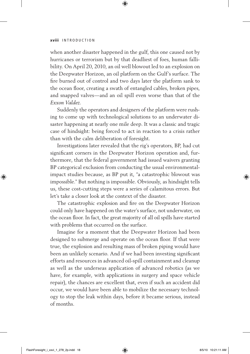when another disaster happened in the gulf, this one caused not by hurricanes or terrorism but by that deadliest of foes, human fallibility. On April 20, 2010, an oil well blowout led to an explosion on the Deepwater Horizon, an oil platform on the Gulf's surface. The fire burned out of control and two days later the platform sank to the ocean floor, creating a swath of entangled cables, broken pipes, and snapped valves—and an oil spill even worse than that of the *Exxon Valdez*.

Suddenly the operators and designers of the platform were rushing to come up with technological solutions to an underwater disaster happening at nearly one mile deep. It was a classic and tragic case of hindsight: being forced to act in reaction to a crisis rather than with the calm deliberation of foresight.

Investigations later revealed that the rig's operators, BP, had cut significant corners in the Deepwater Horizon operation and, furthermore, that the federal government had issued waivers granting BP categorical exclusion from conducting the usual environmentalimpact studies because, as BP put it, "a catastrophic blowout was impossible." But nothing is impossible. Obviously, as hindsight tells us, these cost-cutting steps were a series of calamitous errors. But let's take a closer look at the context of the disaster.

The catastrophic explosion and fire on the Deepwater Horizon could only have happened on the water's surface, not underwater, on the ocean floor. In fact, the great majority of all oil spills have started with problems that occurred on the surface.

Imagine for a moment that the Deepwater Horizon had been designed to submerge and operate on the ocean floor. If that were true, the explosion and resulting mass of broken piping would have been an unlikely scenario. And if we had been investing significant efforts and resources in advanced oil-spill containment and cleanup as well as the underseas application of advanced robotics (as we have, for example, with applications in surgery and space vehicle repair), the chances are excellent that, even if such an accident did occur, we would have been able to mobilize the necessary technology to stop the leak within days, before it became serious, instead of months.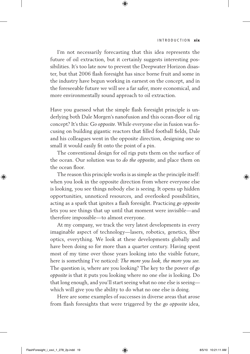I'm not necessarily forecasting that this idea represents the future of oil extraction, but it certainly suggests interesting possibilities. It's too late now to prevent the Deepwater Horizon disaster, but that 2006 flash foresight has since borne fruit and some in the industry have begun working in earnest on the concept, and in the foreseeable future we will see a far safer, more economical, and more environmentally sound approach to oil extraction.

Have you guessed what the simple flash foresight principle is underlying both Dale Morgen's nanofusion and this ocean-floor oil rig concept? It's this: *Go opposite*. While everyone else in fusion was focusing on building gigantic reactors that filled football fields, Dale and his colleagues went in the opposite direction, designing one so small it would easily fit onto the point of a pin.

The conventional design for oil rigs puts them on the surface of the ocean. Our solution was to *do the opposite*, and place them on the ocean floor.

The reason this principle works is as simple as the principle itself: when you look in the opposite direction from where everyone else is looking, you see things nobody else is seeing. It opens up hidden opportunities, unnoticed resources, and overlooked possibilities, acting as a spark that ignites a flash foresight. Practicing go opposite lets you see things that up until that moment were invisible—and therefore impossible—to almost everyone.

At my company, we track the very latest developments in every imaginable aspect of technology—lasers, robotics, genetics, fiber optics, everything. We look at these developments globally and have been doing so for more than a quarter century. Having spent most of my time over those years looking into the visible future, here is something I've noticed: *The more you look, the more you see*. The question is, where are you looking? The key to the power of *go opposite* is that it puts you looking where no one else is looking. Do that long enough, and you'll start seeing what no one else is seeing which will give you the ability to do what no one else is doing.

Here are some examples of successes in diverse areas that arose from flash foresights that were triggered by the *go opposite* idea,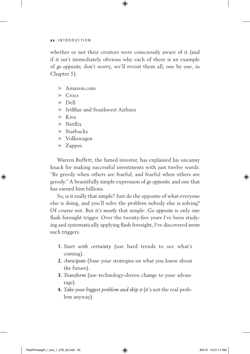whether or not their creators were consciously aware of it (and if it isn't immediately obvious why each of these is an example of *go opposite*, don't worry, we'll revisit them all, one by one, in Chapter 5).

- ➤ Amazon.com
- ➤ Crocs
- $\blacktriangleright$  Dell
- ➤ JetBlue and Southwest Airlines
- ➤ Kiva
- $\blacktriangleright$  Netflix
- ➤ Starbucks
- ➤ Volkswagen
- ➤ Zappos

Warren Buffett, the famed investor, has explained his uncanny knack for making successful investments with just twelve words: "Be greedy when others are fearful, and fearful when others are greedy." A beautifully simple expression of *go opposite*, and one that has earned him billions.

So, is it really that simple? Just do the opposite of what everyone else is doing, and you'll solve the problem nobody else is solving? Of course not. But it's *nearly* that simple. *Go opposite* is only one flash foresight trigger. Over the twenty-five years I've been studying and systematically applying flash foresight, I've discovered *seven* such triggers.

- **1.** *Start with certainty* (use hard trends to see what's coming).
- **2.** *Anticipate* (base your strategies on what you know about the future).
- **3.** *Transform* (use technology-driven change to your advantage).
- **4.** *Take your biggest problem and skip it* (it's not the real problem anyway).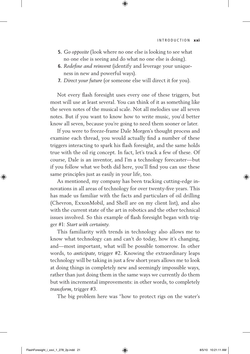- **5.** *Go opposite* (look where no one else is looking to see what no one else is seeing and do what no one else is doing).
- **6.** Redefine and reinvent (identify and leverage your uniqueness in new and powerful ways).
- **7.** *Direct your future* (or someone else will direct it for you).

Not every flash foresight uses every one of these triggers, but most will use at least several. You can think of it as something like the seven notes of the musical scale. Not all melodies use all seven notes. But if you want to know how to write music, you'd better know all seven, because you're going to need them sooner or later.

If you were to freeze-frame Dale Morgen's thought process and examine each thread, you would actually find a number of these triggers interacting to spark his flash foresight, and the same holds true with the oil rig concept. In fact, let's track a few of these. Of course, Dale is an inventor, and I'm a technology forecaster—but if you follow what we both did here, you'll find you can use these same principles just as easily in your life, too.

As mentioned, my company has been tracking cutting-edge innovations in all areas of technology for over twenty-five years. This has made us familiar with the facts and particulars of oil drilling (Chevron, ExxonMobil, and Shell are on my client list), and also with the current state of the art in robotics and the other technical issues involved. So this example of flash foresight began with trigger #1: *Start with certainty*.

This familiarity with trends in technology also allows me to know what technology can and can't do today, how it's changing, and—most important, what will be possible tomorrow. In other words, to *anticipate*, trigger #2. Knowing the extraordinary leaps technology will be taking in just a few short years allows me to look at doing things in completely new and seemingly impossible ways, rather than just doing them in the same ways we currently do them but with incremental improvements: in other words, to completely *transform*, trigger #3.

The big problem here was "how to protect rigs on the water's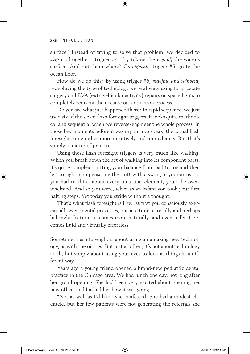surface." Instead of trying to solve that problem, we decided to *skip* it altogether—trigger #4—by taking the rigs *off* the water's surface. And put them where? *Go opposite*, trigger #5: go to the ocean floor.

How do we do this? By using trigger #6, *redefine and reinvent*, redeploying the type of technology we're already using for prostate surgery and EVA (extravehicular activity) repairs on spaceflights to completely reinvent the oceanic oil-extraction process.

Do you see what just happened there? In rapid sequence, we just used six of the seven flash foresight triggers. It looks quite methodical and sequential when we reverse-engineer the whole process; in those few moments before it was my turn to speak, the actual flash foresight came rather more intuitively and immediately. But that's simply a matter of practice.

Using these flash foresight triggers is very much like walking. When you break down the act of walking into its component parts, it's quite complex: shifting your balance from ball to toe and then left to right, compensating the shift with a swing of your arms—if you had to think about every muscular element, you'd be overwhelmed. And so you were, when as an infant you took your first halting steps. Yet today you stride without a thought.

That's what flash foresight is like. At first you consciously exercise all seven mental processes, one at a time, carefully and perhaps haltingly. In time, it comes more naturally, and eventually it becomes fluid and virtually effortless.

Sometimes flash foresight is about using an amazing new technology, as with the oil rigs. But just as often, it's not about technology at all, but simply about using your eyes to look at things in a different way.

Years ago a young friend opened a brand-new pediatric dental practice in the Chicago area. We had lunch one day, not long after her grand opening. She had been very excited about opening her new office, and I asked her how it was going.

"Not as well as I'd like," she confessed. She had a modest clientele, but her few patients were not generating the referrals she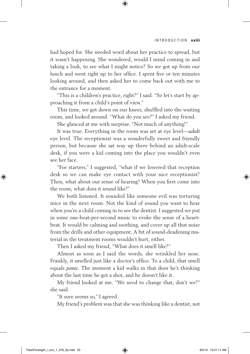had hoped for. She needed word about her practice to spread, but it wasn't happening. She wondered, would I mind coming in and taking a look, to see what I might notice? So we got up from our lunch and went right up to her office. I spent five or ten minutes looking around, and then asked her to come back out with me to the entrance for a moment.

"This is a children's practice, right?" I said. "So let's start by approaching it from a child's point of view."

This time, we got down on our knees, shuffled into the waiting room, and looked around. "What do you see?" I asked my friend.

She glanced at me with surprise. "Not much of anything!"

It was true. Everything in the room was set at eye level—*adult*  eye level. The receptionist was a wonderfully sweet and friendly person, but because she sat way up there behind an adult-scale desk, if you were a kid coming into the place you wouldn't even see her face.

"For starters," I suggested, "what if we lowered that reception desk so we can make eye contact with your nice receptionist? Then, what about our sense of hearing? When you first come into the room, what does it sound like?"

We both listened. It sounded like someone evil was torturing mice in the next room. Not the kind of sound you want to hear when you're a child coming in to see the dentist. I suggested we put in some one-beat-per-second music to evoke the sense of a heartbeat. It would be calming and soothing, and cover up all that noise from the drills and other equipment. A bit of sound-deadening material in the treatment rooms wouldn't hurt, either.

Then I asked my friend, "What does it smell like?"

Almost as soon as I said the words, she wrinkled her nose. Frankly, it smelled just like a doctor's office. To a child, that smell equals *panic*. The moment a kid walks in that door he's thinking about the last time he got a shot, and he doesn't like it.

My friend looked at me. "We need to change that, don't we?" she said.

"It sure seems so," I agreed.

My friend's problem was that she was thinking like a dentist, not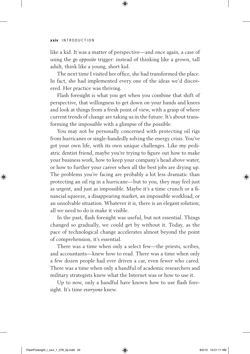like a kid. It was a matter of perspective—and once again, a case of using the *go opposite* trigger: instead of thinking like a grown, tall adult, think like a young, short kid.

The next time I visited her office, she had transformed the place. In fact, she had implemented every one of the ideas we'd discovered. Her practice was thriving.

Flash foresight is what you get when you combine that shift of perspective, that willingness to get down on your hands and knees and look at things from a fresh point of view, with a grasp of where current trends of change are taking us in the future. It's about transforming the impossible with a glimpse of the possible.

You may not be personally concerned with protecting oil rigs from hurricanes or single-handedly solving the energy crisis. You've got your own life, with its own unique challenges. Like my pediatric dentist friend, maybe you're trying to figure out how to make your business work, how to keep your company's head above water, or how to further your career when all the best jobs are drying up. The problems you're facing are probably a lot less dramatic than protecting an oil rig in a hurricane—but to you, they may feel just as urgent, and just as impossible. Maybe it's a time crunch or a financial squeeze, a disappearing market, an impossible workload, or an unsolvable situation. Whatever it is, there is an elegant solution; all we need to do is make it visible.

In the past, flash foresight was useful, but not essential. Things changed so gradually, we could get by without it. Today, as the pace of technological change accelerates almost beyond the point of comprehension, it's essential.

There was a time when only a select few—the priests, scribes, and accountants—knew how to read. There was a time when only a few dozen people had ever driven a car, even fewer who cared. There was a time when only a handful of academic researchers and military strategists knew what the Internet was or how to use it.

Up to now, only a handful have known how to use flash foresight. It's time *everyone* knew.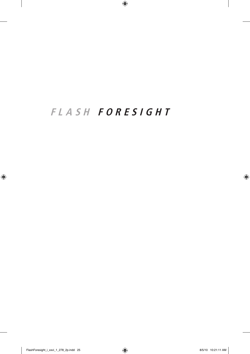## **F L A S H F O R E S I G H T**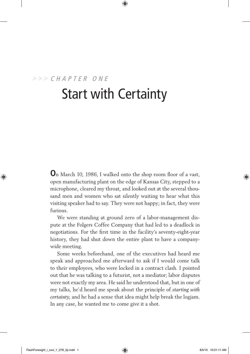#### $>>$  CHAPTER ONE

## Start with Certainty

**O**n March 10, 1986, I walked onto the shop room floor of a vast, open manufacturing plant on the edge of Kansas City, stepped to a microphone, cleared my throat, and looked out at the several thousand men and women who sat silently waiting to hear what this visiting speaker had to say. They were not happy; in fact, they were furious.

We were standing at ground zero of a labor-management dispute at the Folgers Coffee Company that had led to a deadlock in negotiations. For the first time in the facility's seventy- eight-vear history, they had shut down the entire plant to have a company wide meeting.

Some weeks beforehand, one of the executives had heard me speak and approached me afterward to ask if I would come talk to their employees, who were locked in a contract clash. I pointed out that he was talking to a futurist, not a mediator; labor disputes were not exactly my area. He said he understood that, but in one of my talks, he'd heard me speak about the principle of *starting with certainty*, and he had a sense that idea might help break the logjam. In any case, he wanted me to come give it a shot.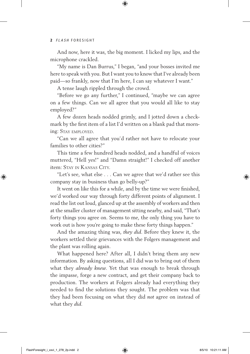And now, here it was, the big moment. I licked my lips, and the microphone crackled.

"My name is Dan Burrus," I began, "and your bosses invited me here to speak with you. But I want you to know that I've already been paid— so frankly, now that I'm here, I can say whatever I want."

A tense laugh rippled through the crowd.

"Before we go any further," I continued, "maybe we can agree on a few things. Can we all agree that you would all like to stay employed?"

A few dozen heads nodded grimly, and I jotted down a checkmark by the first item of a list I'd written on a blank pad that morning: STAY EMPLOYED.

"Can we all agree that you'd rather not have to relocate your families to other cities?"

This time a few hundred heads nodded, and a handful of voices muttered, "Hell yes!" and "Damn straight!" I checked off another item: STAY IN KANSAS CITY.

"Let's see, what else . . . Can we agree that we'd rather see this company stay in business than go belly-up?"

It went on like this for a while, and by the time we were finished, we'd worked our way through forty different points of alignment. I read the list out loud, glanced up at the assembly of workers and then at the smaller cluster of management sitting nearby, and said, "That's forty things you agree on. Seems to me, the only thing you have to work out is how you're going to make these forty things happen."

And the amazing thing was, *they did*. Before they knew it, the workers settled their grievances with the Folgers management and the plant was rolling again.

What happened here? After all, I didn't bring them any new information. By asking questions, all I did was to bring out of them what they *already knew*. Yet that was enough to break through the impasse, forge a new contract, and get their company back to production. The workers at Folgers already had everything they needed to find the solutions they sought. The problem was that they had been focusing on what they did *not* agree on instead of what they *did*.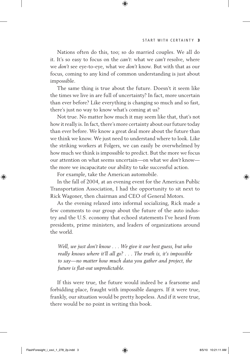Nations often do this, too; so do married couples. We all do it. It's so easy to focus on the *can't*: what we *can't* resolve, where we *don't* see eye-to-eye, what we *don't* know. But with that as our focus, coming to any kind of common understanding is just about impossible.

The same thing is true about the future. Doesn't it seem like the times we live in are full of uncertainty? In fact, more uncertain than ever before? Like everything is changing so much and so fast, there's just no way to know what's coming at us?

Not true. No matter how much it may seem like that, that's not how it really is. In fact, there's more certainty about our future today than ever before. We know a great deal more about the future than we think we know. We just need to understand where to look. Like the striking workers at Folgers, we can easily be overwhelmed by how much we think is impossible to predict. But the more we focus our attention on what seems uncertain— on what we *don't* know the more we incapacitate our ability to take successful action.

For example, take the American automobile.

In the fall of 2004, at an evening event for the American Public Transportation Association, I had the opportunity to sit next to Rick Wagoner, then chairman and CEO of General Motors.

As the evening relaxed into informal socializing, Rick made a few comments to our group about the future of the auto industry and the U.S. economy that echoed statements I've heard from presidents, prime ministers, and leaders of organizations around the world.

*Well, we just don't know . . . We give it our best guess, but who really knows where it'll all go? . . . The truth is, it's impossible to say— no matter how much data you gather and project, the*  future *is flat-out unpredictable*.

If this were true, the future would indeed be a fearsome and forbidding place, fraught with impossible dangers. If it were true, frankly, our situation would be pretty hopeless. And if it were true, there would be no point in writing this book.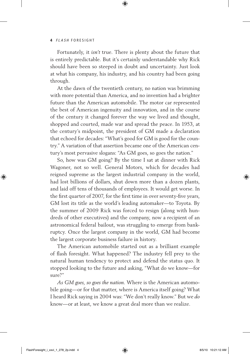Fortunately, it *isn't* true. There is plenty about the future that is entirely predictable. But it's certainly understandable why Rick should have been so steeped in doubt and uncertainty. Just look at what his company, his industry, and his country had been going through.

At the dawn of the twentieth century, no nation was brimming with more potential than America, and no invention had a brighter future than the American automobile. The motor car represented the best of American ingenuity and innovation, and in the course of the century it changed forever the way we lived and thought, shopped and courted, made war and spread the peace. In 1953, at the century's midpoint, the president of GM made a declaration that echoed for decades: "What's good for GM is good for the country." A variation of that assertion became one of the American century's most pervasive slogans: "As GM goes, so goes the nation."

So, how was GM going? By the time I sat at dinner with Rick Wagoner, not so well. General Motors, which for decades had reigned supreme as the largest industrial company in the world, had lost billions of dollars, shut down more than a dozen plants, and laid off tens of thousands of employees. It would get worse. In the first quarter of 2007, for the first time in over seventy-five years, GM lost its title as the world's leading automaker— to Toyota. By the summer of 2009 Rick was forced to resign (along with hundreds of other executives) and the company, now a recipient of an astronomical federal bailout, was struggling to emerge from bankruptcy. Once the largest company in the world, GM had become the largest corporate business failure in history.

The American automobile started out as a brilliant example of flash foresight. What happened? The industry fell prey to the natural human tendency to protect and defend the status quo. It stopped looking to the future and asking, "What do we know— for  $\text{S11} \text{r} \text{e}^{\text{2} \text{m}}$ 

*As GM goes, so goes the nation.* Where is the American automobile going— or for that matter, where is America itself going? What I heard Rick saying in 2004 was: "We don't really know." But we *do*  know— or at least, we know a great deal more than we realize.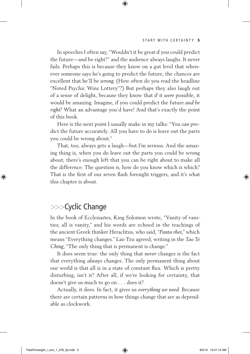In speeches I often say, "Wouldn't it be great if you could predict the future— and be right?" and the audience always laughs. It never fails. Perhaps this is because they know on a gut level that whenever someone says he's going to predict the future, the chances are excellent that he'll be *wrong*. (How often do you read the headline "Noted Psychic Wins Lottery"?) But perhaps they also laugh out of a sense of delight, because they know that if it *were* possible, it would be amazing. Imagine, if you could predict the future *and be right*? What an advantage you'd have! And that's exactly the point of this book.

Here is the next point I usually make in my talks: "You *can* predict the future accurately. All you have to do is leave out the parts you could be wrong about."

That, too, always gets a laugh— but I'm serious. And the amazing thing is, when you do leave out the parts you could be wrong about, there's enough left that you can be right about to make all the difference. The question is, how do you know which is which? That is the first of our seven flash foresight triggers, and it's what this chapter is about.

#### >>>Cyclic Change

In the book of Ecclesiastes, King Solomon wrote, "Vanity of vanities; all is vanity," and his words are echoed in the teachings of the ancient Greek thinker Heraclitus, who said, "*Panta rhei*," which means "Everything changes." Lao Tzu agreed, writing in the *Tao Te Ching*, "The only thing that is permanent is change."

It does seem true: the only thing that *never* changes is the fact that everything *always* changes. The only permanent thing about our world is that all is in a state of constant flux. Which is pretty disturbing, isn't it? After all, if we're looking for certainty, that doesn't give us much to go on . . . does it?

Actually, it does. In fact, it gives us *everything we need*. Because there are certain patterns in how things change that are as dependable as clockwork.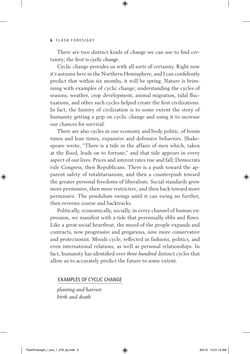There are two distinct kinds of change we can use to find certainty; the first is *cyclic change*.

Cyclic change provides us with all sorts of certainty. Right now it's autumn here in the Northern Hemisphere, and I can confidently predict that within six months, it will be spring. Nature is brimming with examples of cyclic change; understanding the cycles of seasons, weather, crop development, animal migration, tidal fluctuations, and other such cycles helped create the first civilizations. In fact, the history of civilization is to some extent the story of humanity getting a grip on cyclic change and using it to increase our chances for survival.

There are also cycles in our economy and body politic, of boom times and lean times, expansive and defensive behaviors. Shakespeare wrote, "There is a tide in the affairs of men which, taken at the flood, leads on to fortune," and that tide appears in every aspect of our lives. Prices and interest rates rise and fall; Democrats rule Congress, then Republicans. There is a push toward the apparent safety of totalitarianism, and then a counterpush toward the greater personal freedoms of liberalism. Social standards grow more permissive, then more restrictive, and then back toward more permissive. The pendulum swings until it can swing no further, then reverses course and backtracks.

Politically, economically, socially, in every channel of human expression, we manifest with a tide that perennially ebbs and flows. Like a great social heartbeat, the mood of the people expands and contracts, now progressive and gregarious, now more conservative and protectionist. Moods cycle, reflected in fashions, politics, and even international relations, as well as personal relationships. In fact, humanity has identified over *three hundred* distinct cycles that allow us to accurately predict the future to some extent.

#### EXAMPLES OF CYCLIC CHANGE

*planting and harvest birth and death*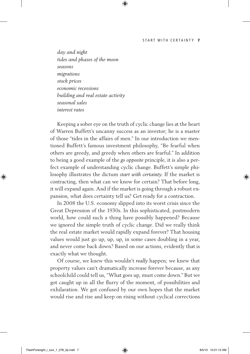*day and night tides and phases of the moon seasons migrations stock prices economic recessions building and real estate activity seasonal sales interest rates*

Keeping a sober eye on the truth of cyclic change lies at the heart of Warren Buffett's uncanny success as an investor; he is a master of those "tides in the affairs of men." In our introduction we mentioned Buffett's famous investment philosophy, "Be fearful when others are greedy, and greedy when others are fearful." In addition to being a good example of the *go opposite* principle, it is also a perfect example of understanding cyclic change. Buffett's simple philosophy illustrates the dictum *start with certainty*. If the market is contracting, then what can we know for certain? That before long, it will expand again. And if the market is going through a robust expansion, what does certainty tell us? Get ready for a contraction.

In 2008 the U.S. economy slipped into its worst crisis since the Great Depression of the 1930s. In this sophisticated, postmodern world, how could such a thing have possibly happened? Because we ignored the simple truth of cyclic change. Did we really think the real estate market would rapidly expand forever? That housing values would just go up, up, up, in some cases doubling in a year, and never come back down? Based on our actions, evidently that is exactly what we thought.

Of course, we knew this wouldn't *really* happen; we knew that property values can't dramatically increase forever because, as any schoolchild could tell us, "What goes up, must come down." But we got caught up in all the flurry of the moment, of possibilities and exhilaration. We got confused by our own hopes that the market would rise and rise and keep on rising without cyclical corrections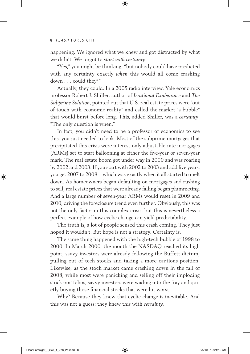happening. We ignored what we knew and got distracted by what we didn't. We forgot to *start with certainty*.

"Yes," you might be thinking, "but nobody could have predicted with any certainty exactly *when* this would all come crashing down . . . could they?"

Actually, they could. In a 2005 radio interview, Yale economics professor Robert J. Shiller, author of *Irrational Exuberance* and *The Subprime Solution*, pointed out that U.S. real estate prices were "out of touch with economic reality" and called the market "a bubble" that would burst before long. This, added Shiller, was a *certainty*: "The only question is when."

In fact, you didn't need to be a professor of economics to see this; you just needed to look. Most of the subprime mortgages that precipitated this crisis were interest-only adjustable-rate mortgages (ARMs) set to start ballooning at either the five-year or seven-year mark. The real estate boom got under way in 2000 and was roaring by 2002 and 2003. If you start with 2002 to 2003 and add five years, you get 2007 to 2008— which was exactly when it all started to melt down. As homeowners began defaulting on mortgages and rushing to sell, real estate prices that were already falling began plummeting. And a large number of seven- year ARMs would reset in 2009 and 2010, driving the foreclosure trend even further. Obviously, this was not the only factor in this complex crisis, but this is nevertheless a perfect example of how cyclic change can yield predictability.

The truth is, a lot of people sensed this crash coming. They just hoped it wouldn't. But hope is not a strategy. Certainty is.

The same thing happened with the high-tech bubble of 1998 to 2000. In March 2000, the month the NASDAQ reached its high point, savvy investors were already following the Buffett dictum, pulling out of tech stocks and taking a more cautious position. Likewise, as the stock market came crashing down in the fall of 2008, while most were panicking and selling off their imploding stock portfolios, savvy investors were wading into the fray and quietly buying those financial stocks that were hit worst.

Why? Because they knew that cyclic change is inevitable. And this was not a guess: they knew this with *certainty*.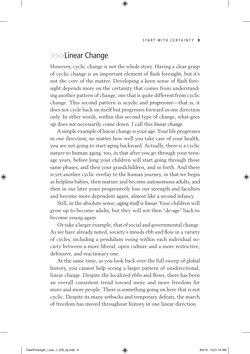#### >>>Linear Change

However, cyclic change is not the whole story. Having a clear grasp of cyclic change is an important element of flash foresight, but it's not the core of the matter. Developing a keen sense of flash foresight depends more on the certainty that comes from understanding another pattern of change, one that is quite different from cyclic change. This second pattern is *acyclic* and *progressive*— that is, it does not cycle back on itself but progresses forward in one direction only. In other words, within this second type of change, what goes up does *not* necessarily come down. I call this *linear change*.

A simple example of linear change is your age. Your life progresses in one direction; no matter how well you take care of your health, you are not going to start aging backward. Actually, there *is* a cyclic nature to human aging, too, in that after you go through your teenage years, before long your children will start going through those same phases, and then your grandchildren, and so forth. And there is yet another cyclic overlay to the human journey, in that we begin as helpless babies, then mature and become autonomous adults, and then in our later years progressively lose our strength and faculties and become more dependent again, almost like a second infancy.

Still, in the absolute sense, *aging itself is linear*. Your children will grow up to become adults, but they will not then "de- age" back to become young again.

Or take a larger example, that of social and governmental change. As we have already noted, society's moods ebb and flow in a variety of cycles, including a pendulum swing within each individual society between a more liberal, open culture and a more restrictive, defensive, and reactionary one.

At the same time, as you look back over the full sweep of global history, you cannot help seeing a larger pattern of unidirectional, linear change. Despite the localized ebbs and flows, there has been an overall consistent trend toward more and more freedom for more and more people. There is something going on here that is not cyclic. Despite its many setbacks and temporary defeats, the march of freedom has moved throughout history in one linear direction.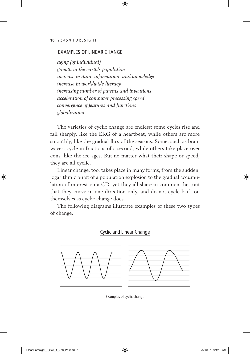#### EXAMPLES OF LINEAR CHANGE

*aging (of individual) growth in the earth's population increase in data, information, and knowledge increase in worldwide literacy increasing number of patents and inventions acceleration of computer processing speed convergence of features and functions globalization*

The varieties of cyclic change are endless; some cycles rise and fall sharply, like the EKG of a heartbeat, while others arc more smoothly, like the gradual flux of the seasons. Some, such as brain waves, cycle in fractions of a second, while others take place over eons, like the ice ages. But no matter what their shape or speed, they are all cyclic.

Linear change, too, takes place in many forms, from the sudden, logarithmic burst of a population explosion to the gradual accumulation of interest on a CD, yet they all share in common the trait that they curve in one direction only, and do not cycle back on themselves as cyclic change does.

The following diagrams illustrate examples of these two types of change.

#### Cyclic and Linear Change



Examples of cyclic change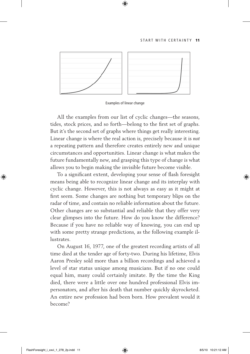

Examples of linear change

All the examples from our list of cyclic changes— the seasons, tides, stock prices, and so forth—belong to the first set of graphs. But it's the second set of graphs where things get really interesting. Linear change is where the real action is, precisely because it is *not*  a repeating pattern and therefore creates entirely new and unique circumstances and opportunities. Linear change is what makes the future fundamentally new, and grasping this type of change is what allows you to begin making the invisible future become visible.

To a significant extent, developing your sense of flash foresight means being able to recognize linear change and its interplay with cyclic change. However, this is not always as easy as it might at first seem. Some changes are nothing but temporary blips on the radar of time, and contain no reliable information about the future. Other changes are so substantial and reliable that they offer very clear glimpses into the future. How do you know the difference? Because if you have no reliable way of knowing, you can end up with some pretty strange predictions, as the following example illustrates.

On August 16, 1977, one of the greatest recording artists of all time died at the tender age of forty-two. During his lifetime, Elvis Aaron Presley sold more than a billion recordings and achieved a level of star status unique among musicians. But if no one could equal him, many could certainly imitate. By the time the King died, there were a little over one hundred professional Elvis impersonators, and after his death that number quickly skyrocketed. An entire new profession had been born. How prevalent would it become?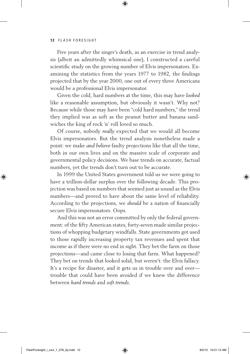Five years after the singer's death, as an exercise in trend analysis (albeit an admittedly whimsical one), I constructed a careful scientific study on the growing number of Elvis impersonators. Examining the statistics from the years 1977 to 1982, the findings projected that by the year 2000, one out of every three Americans would be a professional Elvis impersonator.

Given the cold, hard numbers at the time, this may have *looked*  like a reasonable assumption, but obviously it wasn't. Why not? Because while those may have been "cold hard numbers," the trend they implied was as soft as the peanut butter and banana sandwiches the king of rock 'n' roll loved so much.

Of course, nobody *really* expected that we would all become Elvis impersonators. But the trend analysis nonetheless made a point: we make *and believe* faulty projections like that all the time, both in our own lives and on the massive scale of corporate and governmental policy decisions. We base trends on accurate, factual numbers, yet the trends don't turn out to be accurate.

In 1999 the United States government told us we were going to have a trillion-dollar surplus over the following decade. This projection was based on numbers that seemed just as sound as the Elvis numbers— and proved to have about the same level of reliability. According to the projections, we *should* be a nation of financially secure Elvis impersonators. Oops.

And this was not an error committed by only the federal government: of the fifty American states, forty-seven made similar projections of whopping budgetary windfalls. State governments got used to those rapidly increasing property tax revenues and spent that income as if there were no end in sight. They bet the farm on those projections— and came close to losing that farm. What happened? They bet on trends that looked solid, but weren't: the Elvis fallacy. It's a recipe for disaster, and it gets us in trouble over and over trouble that could have been avoided if we knew the difference between *hard trends* and *soft trends*.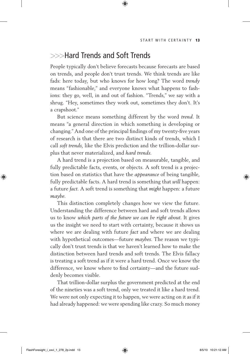#### >>>Hard Trends and Soft Trends

 People typically don't believe forecasts because forecasts are based on trends, and people don't trust trends. We think trends are like fads: here today, but who knows for how long? The word *trendy* means "fashionable," and everyone knows what happens to fashions: they go, well, in and out of fashion. "Trends," we say with a shrug. "Hey, sometimes they work out, sometimes they don't. It's a crapshoot."

But science means something different by the word *trend*. It means "a general direction in which something is developing or changing." And one of the principal findings of my twenty-five years of research is that there are two distinct kinds of trends, which I call *soft trends*, like the Elvis prediction and the trillion-dollar surplus that never materialized, and *hard trends*.

A hard trend is a projection based on measurable, tangible, and fully predictable facts, events, or objects. A soft trend is a projection based on statistics that have the *appearance* of being tangible, fully predictable facts. A hard trend is something that *will* happen: a future *fact*. A soft trend is something that *might* happen: a future *maybe*.

This distinction completely changes how we view the future. Understanding the difference between hard and soft trends allows us to know *which parts of the future we can be right about*. It gives us the insight we need to start with certainty, because it shows us where we are dealing with future *fact* and where we are dealing with hypothetical outcomes— future *maybes*. The reason we typically don't trust trends is that we haven't learned how to make the distinction between hard trends and soft trends. The Elvis fallacy is treating a soft trend as if it were a hard trend. Once we know the difference, we know where to find certainty—and the future suddenly becomes visible.

That trillion- dollar surplus the government predicted at the end of the nineties was a soft trend, only we treated it like a hard trend. We were not only expecting it to happen, we were acting on it as if it had already happened: we were spending like crazy. So much money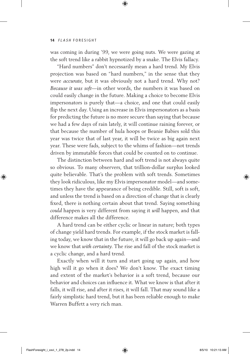was coming in during '99, we were going nuts. We were gazing at the soft trend like a rabbit hypnotized by a snake. The Elvis fallacy.

"Hard numbers" don't necessarily mean a hard trend. My Elvis projection was based on "hard numbers," in the sense that they were *accurate*, but it was obviously not a hard trend. Why not? *Because it was soft*— in other words, the numbers it was based on could easily change in the future. Making a choice to become Elvis impersonators is purely that—a choice, and one that could easily flip the next day. Using an increase in Elvis impersonators as a basis for predicting the future is no more secure than saying that because we had a few days of rain lately, it will continue raining forever, or that because the number of hula hoops or Beanie Babies sold this year was twice that of last year, it will be twice as big again next year. These were fads, subject to the whims of fashion— not trends driven by immutable forces that could be counted on to continue.

The distinction between hard and soft trend is not always quite so obvious. To many observers, that trillion- dollar surplus looked quite believable. That's the problem with soft trends. Sometimes they look ridiculous, like my Elvis impersonator model—and sometimes they have the appearance of being credible. Still, soft is soft, and unless the trend is based on a direction of change that is clearly fixed, there is nothing certain about that trend. Saying something *could* happen is very different from saying it *will* happen, and that difference makes all the difference.

A hard trend can be either cyclic or linear in nature; both types of change yield hard trends. For example, if the stock market is falling today, we know that in the future, it will go back up again— and we know that *with certainty*. The rise and fall of the stock market is a cyclic change, and a hard trend.

Exactly when will it turn and start going up again, and how high will it go when it does? We don't know. The exact timing and extent of the market's behavior is a soft trend, because our behavior and choices can influence it. What we know is that after it falls, it will rise, and after it rises, it will fall. That may sound like a fairly simplistic hard trend, but it has been reliable enough to make Warren Buffett a very rich man.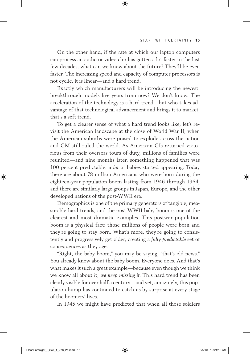On the other hand, if the rate at which our laptop computers can process an audio or video clip has gotten a lot faster in the last few decades, what can we know about the future? They'll be even faster. The increasing speed and capacity of computer processors is not cyclic, it is linear— and a hard trend.

Exactly which manufacturers will be introducing the newest, breakthrough models five years from now? We don't know. The acceleration of the technology is a hard trend— but who takes advantage of that technological advancement and brings it to market, that's a soft trend.

To get a clearer sense of what a hard trend looks like, let's revisit the American landscape at the close of World War II, when the American suburbs were poised to explode across the nation and GM still ruled the world. As American GIs returned victorious from their overseas tours of duty, millions of families were reunited— and nine months later, something happened that was 100 percent predictable: *a lot* of babies started appearing. Today there are about 78 million Americans who were born during the eighteen- year population boom lasting from 1946 through 1964, and there are similarly large groups in Japan, Europe, and the other developed nations of the post-WWII era.

Demographics is one of the primary generators of tangible, measurable hard trends, and the post-WWII baby boom is one of the clearest and most dramatic examples. This postwar population boom is a physical fact: those millions of people were born and they're going to stay born. What's more, they're going to consistently and progressively get older, creating a *fully predictable* set of consequences as they age.

"Right, the baby boom," you may be saying, "that's old news." You already know about the baby boom. Everyone does. And that's what makes it such a great example— because even though we think we know all about it, *we keep missing it*. This hard trend has been clearly visible for over half a century— and yet, amazingly, this population bump has continued to catch us by surprise at every stage of the boomers' lives.

In 1945 we might have predicted that when all those soldiers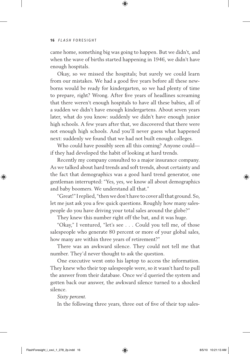came home, something big was going to happen. But we didn't, and when the wave of births started happening in 1946, we didn't have enough hospitals.

Okay, so we missed the hospitals; but surely we could learn from our mistakes. We had a good five years before all these newborns would be ready for kindergarten, so we had plenty of time to prepare, right? Wrong. After five years of headlines screaming that there weren't enough hospitals to have all these babies, all of a sudden we didn't have enough kindergartens. About seven years later, what do you know: suddenly we didn't have enough junior high schools. A few years after that, we discovered that there were not enough high schools. And you'll never guess what happened next: suddenly we found that we had not built enough colleges.

Who could have possibly seen all this coming? Anyone could if they had developed the habit of looking at hard trends.

Recently my company consulted to a major insurance company. As we talked about hard trends and soft trends, about certainty and the fact that demographics was a good hard trend generator, one gentleman interrupted: "Yes, yes, we know all about demographics and baby boomers. We understand all that."

"Great!" I replied, "then we don't have to cover all that ground. So, let me just ask you a few quick questions. Roughly how many salespeople do you have driving your total sales around the globe?"

They knew this number right off the bat, and it was huge.

"Okay," I ventured, "let's see . . . Could you tell me, of those sales people who generate 80 percent or more of your global sales, how many are within three years of retirement?"

There was an awkward silence. They could not tell me that number. They'd never thought to ask the question.

One executive went onto his laptop to access the information. They knew who their top salespeople were, so it wasn't hard to pull the answer from their database. Once we'd queried the system and gotten back our answer, the awkward silence turned to a shocked silence.

#### *Sixty percent*.

In the following three years, three out of five of their top sales-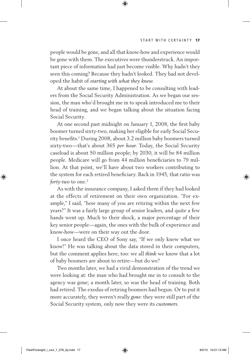people would be gone, and all that know- how and experience would be gone with them. The executives were thunderstruck. An important piece of information had just become visible. Why hadn't they seen this coming? Because they hadn't looked. They had not developed the habit of *starting with what they knew*.

At about the same time, I happened to be consulting with leaders from the Social Security Administration. As we began our session, the man who'd brought me in to speak introduced me to their head of training, and we began talking about the situation facing Social Security.

At one second past midnight on January 1, 2008, the first baby boomer turned sixty- two, making her eligible for early Social Security benefits.<sup>1</sup> During 2008, about 3.2 million baby boomers turned sixty-two-that's about 365 *per hour*. Today, the Social Security caseload is about 50 million people; by 2030, it will be 84 million people. Medicare will go from 44 million beneficiaries to 79 million. At that point, we'll have about two workers contributing to the system for each retired beneficiary. Back in 1945, that ratio was *forty-two to one.*<sup>2</sup>

As with the insurance company, I asked them if they had looked at the effects of retirement on their own organization. "For example," I said, "how many of you are retiring within the next few years?" It was a fairly large group of senior leaders, and quite a few hands went up. Much to their shock, a major percentage of their key senior people— again, the ones with the bulk of experience and know-how-were on their way out the door.

I once heard the CEO of Sony say, "If we only knew what we know!" He was talking about the data stored in their computers, but the comment applies here, too: we all *think* we know that a lot of baby boomers are about to retire— but do we?

Two months later, we had a vivid demonstration of the trend we were looking at: the man who had brought me in to consult to the agency was gone; a month later, so was the head of training. Both had retired. The exodus of retiring boomers had begun. Or to put it more accurately, they weren't really *gone*: they were still part of the Social Security system, only now they were its *customers*.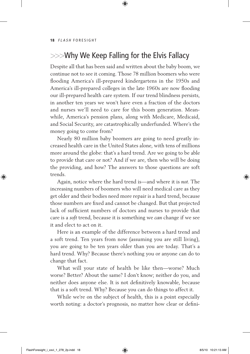#### >>>Why We Keep Falling for the Elvis Fallacy

Despite all that has been said and written about the baby boom, we continue not to see it coming. Those 78 million boomers who were flooding America's ill-prepared kindergartens in the 1950s and America's ill-prepared colleges in the late 1960s are now flooding our ill-prepared health care system. If our trend blindness persists, in another ten years we won't have even a fraction of the doctors and nurses we'll need to care for this boom generation. Meanwhile, America's pension plans, along with Medicare, Medicaid, and Social Security, are catastrophically underfunded. Where's the money going to come from?

Nearly 80 million baby boomers are going to need greatly increased health care in the United States alone, with tens of millions more around the globe: that's a hard trend. Are we going to be able to provide that care or not? And if we are, then who will be doing the providing, and how? The answers to those questions are soft trends.

Again, notice where the hard trend is— and where it is *not*. The increasing numbers of boomers who will need medical care as they get older and their bodies need more repair is a hard trend, because those numbers are fixed and cannot be changed. But that projected lack of sufficient numbers of doctors and nurses to provide that care is a *soft* trend, because it is something we *can* change if we see it and elect to act on it.

Here is an example of the difference between a hard trend and a soft trend. Ten years from now (assuming you are still living), you are going to be ten years older than you are today. That's a hard trend. Why? Because there's nothing you or anyone can do to change that fact.

What will your state of health be like then— worse? Much worse? Better? About the same? I don't know; neither do you, and neither does anyone else. It is not definitively knowable, because that is a soft trend. Why? Because you can do things to affect it.

While we're on the subject of health, this is a point especially worth noting: a doctor's prognosis, no matter how clear or defini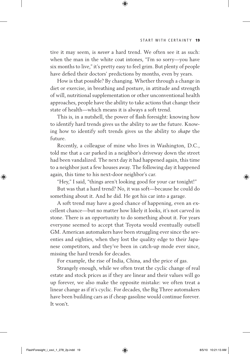tive it may seem, is *never* a hard trend. We often see it as such: when the man in the white coat intones, "I'm so sorry— you have six months to live," it's pretty easy to feel grim. But plenty of people have defied their doctors' predictions by months, even by years.

How is that possible? By changing. Whether through a change in diet or exercise, in breathing and posture, in attitude and strength of will, nutritional supplementation or other unconventional health approaches, people have the ability to take actions that change their state of health— which means it is always a soft trend.

This is, in a nutshell, the power of flash foresight: knowing how to identify hard trends gives us the ability to *see* the future. Knowing how to identify soft trends gives us the ability to *shape* the future.

Recently, a colleague of mine who lives in Washington, D.C., told me that a car parked in a neighbor's driveway down the street had been vandalized. The next day it had happened again, this time to a neighbor just a few houses away. The following day it happened again, this time to his next-door neighbor's car.

"Hey," I said, "things aren't looking good for your car tonight!"

But was that a hard trend? No, it was soft— because he could do something about it. And he did. He got his car into a garage.

A soft trend may have a good chance of happening, even an excellent chance— but no matter how likely it looks, it's not carved in stone. There is an opportunity to do something about it. For years everyone seemed to accept that Toyota would eventually outsell GM. American automakers have been struggling ever since the seventies and eighties, when they lost the quality edge to their Japanese competitors, and they've been in catch-up mode ever since, missing the hard trends for decades.

For example, the rise of India, China, and the price of gas.

Strangely enough, while we often treat the cyclic change of real estate and stock prices as if they are linear and their values will go up forever, we also make the opposite mistake: we often treat a linear change as if it's cyclic. For decades, the Big Three automakers have been building cars as if cheap gasoline would continue forever. It won't.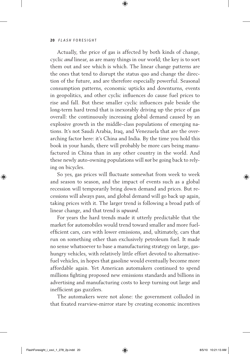Actually, the price of gas is affected by both kinds of change, cyclic *and* linear, as are many things in our world; the key is to sort them out and see which is which. The linear change patterns are the ones that tend to disrupt the status quo and change the direction of the future, and are therefore especially powerful. Seasonal consumption patterns, economic upticks and downturns, events in geopolitics, and other cyclic influences do cause fuel prices to rise and fall. But these smaller cyclic influences pale beside the long-term hard trend that is inexorably driving up the price of gas overall: the continuously increasing global demand caused by an explosive growth in the middle- class populations of emerging nations. It's not Saudi Arabia, Iraq, and Venezuela that are the overarching factor here: it's China and India. By the time you hold this book in your hands, there will probably be more cars being manufactured in China than in any other country in the world. And these newly auto- owning populations will *not* be going back to relying on bicycles.

So yes, gas prices will fluctuate somewhat from week to week and season to season, and the impact of events such as a global recession will temporarily bring down demand and prices. But recessions will always pass, and global demand will go back up again, taking prices with it. The larger trend is following a broad path of linear change, and that trend is *upward*.

For years the hard trends made it utterly predictable that the market for automobiles would trend toward smaller and more fuel efficient cars, cars with lower emissions, and, ultimately, cars that run on something other than exclusively petroleum fuel. It made no sense whatsoever to base a manufacturing strategy on large, gas hungry vehicles, with relatively little effort devoted to alternative fuel vehicles, in hopes that gasoline would eventually become more affordable again. Yet American automakers continued to spend millions fighting proposed new emissions standards and billions in advertising and manufacturing costs to keep turning out large and inefficient gas guzzlers.

The automakers were not alone: the government colluded in that fixated rearview-mirror stare by creating economic incentives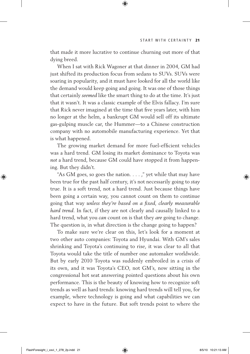that made it more lucrative to continue churning out more of that dying breed.

When I sat with Rick Wagoner at that dinner in 2004, GM had just shifted its production focus from sedans to SUVs. SUVs were soaring in popularity, and it must have looked for all the world like the demand would keep going and going. It was one of those things that certainly *seemed* like the smart thing to do at the time. It's just that it wasn't. It was a classic example of the Elvis fallacy. I'm sure that Rick never imagined at the time that five years later, with him no longer at the helm, a bankrupt GM would sell off its ultimate gas- gulping muscle car, the Hummer— to a Chinese construction company with no automobile manufacturing experience. Yet that is what happened.

The growing market demand for more fuel-efficient vehicles was a hard trend. GM losing its market dominance to Toyota was *not* a hard trend, because GM could have stopped it from happening. But they didn't.

"As GM goes, so goes the nation. . . . ," yet while that may have been true for the past half century, it's not necessarily going to *stay*  true. It is a soft trend, not a hard trend. Just because things have been going a certain way, you cannot count on them to continue going that way *unless they're based on a fixed, clearly measurable hard trend*. In fact, if they are not clearly and causally linked to a hard trend, what you *can* count on is that they *are* going to change. The question is, in what direction is the change going to happen?

To make sure we're clear on this, let's look for a moment at two other auto companies: Toyota and Hyundai. With GM's sales shrinking and Toyota's continuing to rise, it was clear to all that Toyota would take the title of number one automaker worldwide. But by early 2010 Toyota was suddenly embroiled in a crisis of its own, and it was Toyota's CEO, not GM's, now sitting in the congressional hot seat answering pointed questions about his own performance. This is the beauty of knowing how to recognize soft trends as well as hard trends: knowing hard trends will tell you, for example, where technology is going and what capabilities we can expect to have in the future. But soft trends point to where the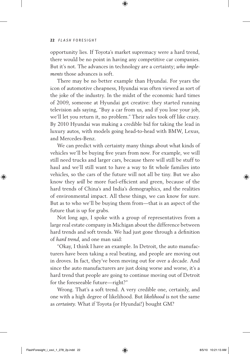opportunity lies. If Toyota's market supremacy were a hard trend, there would be no point in having any competitive car companies. But it's not. The advances in technology are a certainty; *who implements* those advances is soft.

There may be no better example than Hyundai. For years the icon of automotive cheapness, Hyundai was often viewed as sort of the joke of the industry. In the midst of the economic hard times of 2009, someone at Hyundai got creative: they started running television ads saying, "Buy a car from us, and if you lose your job, we'll let you return it, no problem." Their sales took off like crazy. By 2010 Hyundai was making a credible bid for taking the lead in luxury autos, with models going head-to-head with BMW, Lexus, and Mercedes- Benz.

We can predict with certainty many things about what kinds of vehicles we'll be buying five years from now. For example, we will still need trucks and larger cars, because there will still be stuff to haul and we'll still want to have a way to fit whole families into vehicles, so the cars of the future will not all be tiny. But we also know they *will* be more fuel-efficient and green, because of the hard trends of China's and India's demographics, and the realities of environmental impact. All these things, we can know for sure. But as to who we'll be buying them from— that is an aspect of the future that is up for grabs.

Not long ago, I spoke with a group of representatives from a large real estate company in Michigan about the difference between hard trends and soft trends. We had just gone through a definition of *hard trend*, and one man said:

"Okay, I think I have an example. In Detroit, the auto manufacturers have been taking a real beating, and people are moving out in droves. In fact, they've been moving out for over a decade. And since the auto manufacturers are just doing worse and worse, it's a hard trend that people are going to continue moving out of Detroit for the foreseeable future—right?"

Wrong. That's a soft trend. A very credible one, certainly, and one with a high degree of likelihood. But *likelihood* is not the same as *certainty*. What if Toyota (or Hyundai!) bought GM?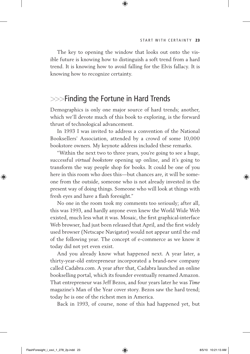The key to opening the window that looks out onto the visible future is knowing how to distinguish a soft trend from a hard trend. It is knowing how to avoid falling for the Elvis fallacy. It is knowing how to recognize certainty.

#### >>>Finding the Fortune in Hard Trends

Demographics is only one major source of hard trends; another, which we'll devote much of this book to exploring, is the forward thrust of technological advancement.

In 1993 I was invited to address a convention of the National Booksellers' Association, attended by a crowd of some 10,000 bookstore owners. My keynote address included these remarks.

"Within the next two to three years, you're going to see a huge, successful *virtual bookstore* opening up online, and it's going to transform the way people shop for books. It could be one of you here in this room who does this— but chances are, it will be someone from the outside, someone who is not already invested in the present way of doing things. Someone who will look at things with fresh eyes and have a flash foresight."

No one in the room took my comments too seriously; after all, this was 1993, and hardly anyone even knew the World Wide Web existed, much less what it was. Mosaic, the first graphical-interface Web browser, had just been released that April, and the first widely used browser (Netscape Navigator) would not appear until the end of the following year. The concept of e- commerce as we know it today did not yet even exist.

And you already know what happened next. A year later, a thirty-year-old entrepreneur incorporated a brand-new company called Cadabra.com. A year after that, Cadabra launched an online bookselling portal, which its founder eventually renamed Amazon. That entrepreneur was Jeff Bezos, and four years later he was *Time* magazine's Man of the Year cover story. Bezos saw the hard trend; today he is one of the richest men in America.

Back in 1993, of course, none of this had happened yet, but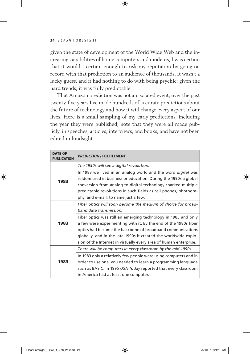given the state of development of the World Wide Web and the increasing capabilities of home computers and modems, I was certain that it would— certain enough to risk my reputation by going on record with that prediction to an audience of thousands. It wasn't a lucky guess, and it had nothing to do with being psychic: given the hard trends, it was fully predictable.

That Amazon prediction was not an isolated event; over the past twenty-five years I've made hundreds of accurate predictions about the future of technology and how it will change every aspect of our lives. Here is a small sampling of my early predictions, including the year they were published; note that they were all made publicly, in speeches, articles, interviews, and books, and have not been edited in hindsight.

| <b>DATE OF</b><br><b>PUBLICATION</b> | <b>PREDICTION / FULFILLMENT</b>                                     |
|--------------------------------------|---------------------------------------------------------------------|
|                                      | The 1990s will see a digital revolution.                            |
|                                      | In 1983 we lived in an analog world and the word <i>digital</i> was |
| 1983                                 | seldom used in business or education. During the 1990s a global     |
|                                      | conversion from analog to digital technology sparked multiple       |
|                                      | predictable revolutions in such fields as cell phones, photogra-    |
|                                      | phy, and e-mail, to name just a few.                                |
|                                      | Fiber optics will soon become the medium of choice for broad-       |
|                                      | band data transmission.                                             |
|                                      | Fiber optics was still an emerging technology in 1983 and only      |
| 1983                                 | a few were experimenting with it. By the end of the 1980s fiber     |
|                                      | optics had become the backbone of broadband communications          |
|                                      | globally, and in the late 1990s it created the worldwide explo-     |
|                                      | sion of the Internet in virtually every area of human enterprise.   |
|                                      | There will be computers in every classroom by the mid-1990s.        |
|                                      | In 1983 only a relatively few people were using computers and in    |
| 1983                                 | order to use one, you needed to learn a programming language        |
|                                      | such as BASIC. In 1995 USA Today reported that every classroom      |
|                                      | in America had at least one computer.                               |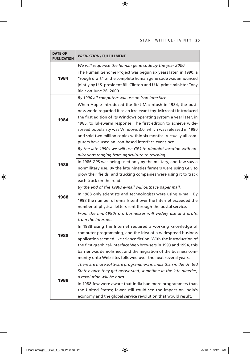| <b>DATE OF</b><br><b>PUBLICATION</b> | <b>PREDICTION / FULFILLMENT</b>                                                                                                                                                                                                                                                                                                                                                                                                                                         |
|--------------------------------------|-------------------------------------------------------------------------------------------------------------------------------------------------------------------------------------------------------------------------------------------------------------------------------------------------------------------------------------------------------------------------------------------------------------------------------------------------------------------------|
|                                      | We will sequence the human gene code by the year 2000.                                                                                                                                                                                                                                                                                                                                                                                                                  |
| 1984                                 | The Human Genome Project was begun six years later, in 1990; a<br>"rough draft" of the complete human gene code was announced<br>jointly by U.S. president Bill Clinton and U.K. prime minister Tony<br>Blair on June 26, 2000.                                                                                                                                                                                                                                         |
|                                      | By 1990 all computers will use an icon interface.                                                                                                                                                                                                                                                                                                                                                                                                                       |
| 1984                                 | When Apple introduced the first Macintosh in 1984, the busi-<br>ness world regarded it as an irrelevant toy. Microsoft introduced<br>the first edition of its Windows operating system a year later, in<br>1985, to lukewarm response. The first edition to achieve wide-<br>spread popularity was Windows 3.0, which was released in 1990<br>and sold two million copies within six months. Virtually all com-<br>puters have used an icon-based interface ever since. |
|                                      | By the late 1990s we will use GPS to pinpoint location with ap-                                                                                                                                                                                                                                                                                                                                                                                                         |
| 1986                                 | plications ranging from agriculture to trucking.<br>In 1986 GPS was being used only by the military, and few saw a<br>nonmilitary use. By the late nineties farmers were using GPS to<br>plow their fields, and trucking companies were using it to track<br>each truck on the road.                                                                                                                                                                                    |
|                                      | By the end of the 1990s e-mail will outpace paper mail.                                                                                                                                                                                                                                                                                                                                                                                                                 |
| 1988                                 | In 1988 only scientists and technologists were using e-mail. By<br>1998 the number of e-mails sent over the Internet exceeded the<br>number of physical letters sent through the postal service.                                                                                                                                                                                                                                                                        |
|                                      | From the mid-1990s on, businesses will widely use and profit                                                                                                                                                                                                                                                                                                                                                                                                            |
|                                      | from the Internet.                                                                                                                                                                                                                                                                                                                                                                                                                                                      |
| 1988                                 | In 1988 using the Internet required a working knowledge of<br>computer programming, and the idea of a widespread business<br>application seemed like science fiction. With the introduction of<br>the first graphical-interface Web browsers in 1993 and 1994, this<br>barrier was demolished, and the migration of the business com-<br>munity onto Web sites followed over the next several years.                                                                    |
|                                      | There are more software programmers in India than in the United                                                                                                                                                                                                                                                                                                                                                                                                         |
|                                      | States; once they get networked, sometime in the late nineties,<br>a revolution will be born.                                                                                                                                                                                                                                                                                                                                                                           |
| 1988                                 | In 1988 few were aware that India had more programmers than                                                                                                                                                                                                                                                                                                                                                                                                             |
|                                      | the United States; fewer still could see the impact on India's<br>economy and the global service revolution that would result.                                                                                                                                                                                                                                                                                                                                          |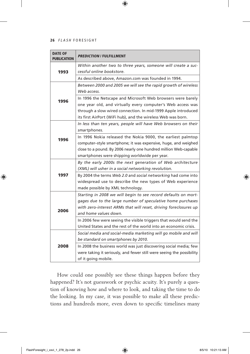| <b>DATE OF</b><br>PUBLICATION | <b>PREDICTION / FULFILLMENT</b>                                       |  |
|-------------------------------|-----------------------------------------------------------------------|--|
|                               | Within another two to three years, someone will create a suc-         |  |
| 1993                          | cessful online bookstore.                                             |  |
|                               | As described above, Amazon.com was founded in 1994.                   |  |
|                               | Between 2000 and 2005 we will see the rapid growth of wireless        |  |
|                               | Web access.                                                           |  |
| 1996                          | In 1996 the Netscape and Microsoft Web browsers were barely           |  |
|                               | one year old, and virtually every computer's Web access was           |  |
|                               | through a slow wired connection. In mid-1999 Apple introduced         |  |
|                               | its first AirPort (WiFi hub), and the wireless Web was born.          |  |
|                               | In less than ten years, people will have Web browsers on their        |  |
|                               | smartphones.                                                          |  |
| 1996                          | In 1996 Nokia released the Nokia 9000, the earliest palmtop           |  |
|                               | computer-style smartphone; it was expensive, huge, and weighed        |  |
|                               | close to a pound. By 2006 nearly one hundred million Web-capable      |  |
|                               | smartphones were shipping worldwide per year.                         |  |
|                               | By the early 2000s the next generation of Web architecture            |  |
|                               | (XML) will usher in a social networking revolution.                   |  |
| 1997                          | By 2004 the terms Web 2.0 and social networking had come into         |  |
|                               | widespread use to describe the new types of Web experience            |  |
|                               | made possible by XML technology.                                      |  |
|                               | Starting in 2008 we will begin to see record defaults on mort-        |  |
|                               | gages due to the large number of speculative home purchases           |  |
| 2006                          | with zero-interest ARMs that will reset, driving foreclosures up      |  |
|                               | and home values down.                                                 |  |
|                               | In 2006 few were seeing the visible triggers that would send the      |  |
|                               | United States and the rest of the world into an economic crisis.      |  |
|                               | Social media and social-media marketing will go mobile and will       |  |
|                               | be standard on smartphones by 2010.                                   |  |
| 2008                          | In 2008 the business world was just discovering social media; few     |  |
|                               | were taking it seriously, and fewer still were seeing the possibility |  |
|                               | of it going mobile.                                                   |  |

How could one possibly see these things happen before they happened? It's not guesswork or psychic acuity. It's purely a question of knowing how and where to look, and taking the time to do the looking. In my case, it was possible to make all these predictions and hundreds more, even down to specific timelines many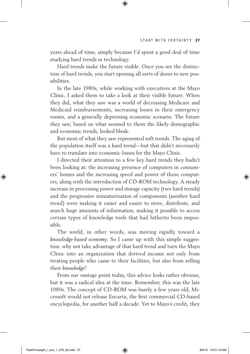years ahead of time, simply because I'd spent a good deal of time studying hard trends in technology.

Hard trends make the future visible. Once you see the distinction of hard trends, you start opening all sorts of doors to new possibilities.

In the late 1980s, while working with executives at the Mayo Clinic, I asked them to take a look at their visible future. When they did, what they saw was a world of decreasing Medicare and Medicaid reimbursements, increasing losses in their emergency rooms, and a generally depressing economic scenario. The future they saw, based on what seemed to them the likely demographic and economic trends, looked bleak.

But most of what they saw represented soft trends. The aging of the population itself was a hard trend— but that didn't necessarily have to translate into economic losses for the Mayo Clinic.

I directed their attention to a few key hard trends they hadn't been looking at: the increasing presence of computers in consumers' homes and the increasing speed and power of those computers, along with the introduction of CD-ROM technology. A steady increase in processing power and storage capacity (two hard trends) and the progressive miniaturization of components (another hard trend) were making it easier and easier to store, distribute, and search huge amounts of information, making it possible to access certain types of knowledge tools that had hitherto been impossible.

The world, in other words, was moving rapidly toward a *knowledge- based economy*. So I came up with this simple suggestion: why not take advantage of that hard trend and turn the Mayo Clinic into an organization that derived income not only from treating people who came to their facilities, but also from selling their *knowledge*?

From our vantage point today, this advice looks rather obvious, but it was a radical idea at the time. Remember, this was the late 1980s. The concept of CD- ROM was barely a few years old; Microsoft would not release Encarta, the first commercial CD-based encyclopedia, for another half a decade. Yet to Mayo's credit, they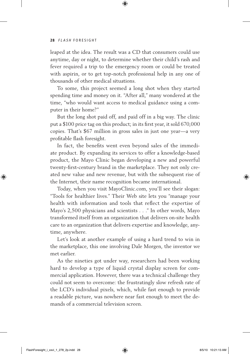leaped at the idea. The result was a CD that consumers could use anytime, day or night, to determine whether their child's rash and fever required a trip to the emergency room or could be treated with aspirin, or to get top-notch professional help in any one of thousands of other medical situations.

To some, this project seemed a long shot when they started spending time and money on it. "After all," many wondered at the time, "who would want access to medical guidance using a computer in their home?"

But the long shot paid off, and paid off in a big way. The clinic put a \$100 price tag on this product; in its first year, it sold 670,000 copies. That's \$67 million in gross sales in just one year—a very profitable flash foresight.

In fact, the benefits went even beyond sales of the immediate product. By expanding its services to offer a knowledge-based product, the Mayo Clinic began developing a new and powerful twenty-first-century brand in the marketplace. They not only created new value and new revenue, but with the subsequent rise of the Internet, their name recognition became international.

Today, when you visit MayoClinic.com, you'll see their slogan: "Tools for healthier lives." Their Web site lets you "manage your health with information and tools that reflect the expertise of Mayo's 2,500 physicians and scientists . . ." In other words, Mayo transformed itself from an organization that delivers on-site health care to an organization that delivers expertise and knowledge, anytime, anywhere.

Let's look at another example of using a hard trend to win in the marketplace, this one involving Dale Morgen, the inventor we met earlier.

As the nineties got under way, researchers had been working hard to develop a type of liquid crystal display screen for commercial application. However, there was a technical challenge they could not seem to overcome: the frustratingly slow refresh rate of the LCD's individual pixels, which, while fast enough to provide a readable picture, was nowhere near fast enough to meet the demands of a commercial television screen.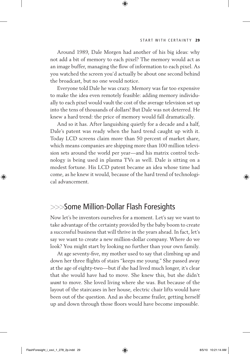Around 1989, Dale Morgen had another of his big ideas: why not add a bit of memory to each pixel? The memory would act as an image buffer, managing the flow of information to each pixel. As you watched the screen you'd actually be about one second behind the broadcast, but no one would notice.

Everyone told Dale he was crazy. Memory was far too expensive to make the idea even remotely feasible: adding memory individually to each pixel would vault the cost of the average television set up into the tens of thousands of dollars! But Dale was not deterred. He knew a hard trend: the price of memory would fall dramatically.

And so it has. After languishing quietly for a decade and a half, Dale's patent was ready when the hard trend caught up with it. Today LCD screens claim more than 50 percent of market share, which means companies are shipping more than 100 million television sets around the world per year— and his matrix control technology is being used in plasma TVs as well. Dale is sitting on a modest fortune. His LCD patent became an idea whose time had come, as he knew it would, because of the hard trend of technological advancement.

#### >>>Some Million- Dollar Flash Foresights

Now let's be inventors ourselves for a moment. Let's say we want to take advantage of the certainty provided by the baby boom to create a successful business that will thrive in the years ahead. In fact, let's say we want to create a new million- dollar company. Where do we look? You might start by looking no further than your own family.

At age seventy-five, my mother used to say that climbing up and down her three flights of stairs "keeps me young." She passed away at the age of eighty-two—but if she had lived much longer, it's clear that she would have had to move. She knew this, but she didn't *want* to move. She loved living where she was. But because of the layout of the staircases in her house, electric chair lifts would have been out of the question. And as she became frailer, getting herself up and down through those floors would have become impossible.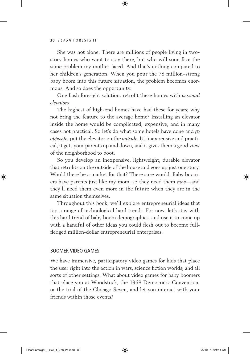She was not alone. There are millions of people living in two story homes who want to stay there, but who will soon face the same problem my mother faced. And that's nothing compared to her children's generation. When you pour the 78 million–strong baby boom into this future situation, the problem becomes enormous. And so does the opportunity.

One flash foresight solution: retrofit these homes with *personal elevators*.

The highest of high-end homes have had these for years; why not bring the feature to the average home? Installing an elevator inside the home would be complicated, expensive, and in many cases not practical. So let's do what some hotels have done and *go opposite*: put the elevator on the *outside*. It's inexpensive and practical, it gets your parents up and down, and it gives them a good view of the neighborhood to boot.

So you develop an inexpensive, lightweight, durable elevator that retrofits on the outside of the house and goes up just one story. Would there be a market for that? There sure would. Baby boomers have parents just like my mom, so they need them *now*— and they'll need them even more in the future when they are in the same situation themselves.

Throughout this book, we'll explore entrepreneurial ideas that tap a range of technological hard trends. For now, let's stay with this hard trend of baby boom demographics, and use it to come up with a handful of other ideas you could flesh out to become fullfledged million-dollar entrepreneurial enterprises.

#### BOOMER VIDEO GAMES

We have immersive, participatory video games for kids that place the user right into the action in wars, science fiction worlds, and all sorts of other settings. What about video games for baby boomers that place you at Woodstock, the 1968 Democratic Convention, or the trial of the Chicago Seven, and let you interact with your friends within those events?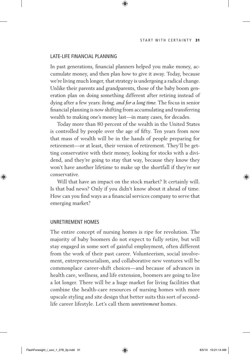#### LATE-LIFE FINANCIAL PLANNING

In past generations, financial planners helped you make money, accumulate money, and then plan how to give it away. Today, because we're living much longer, that strategy is undergoing a radical change. Unlike their parents and grandparents, those of the baby boom generation plan on doing something different after retiring instead of dying after a few years: *living, and for a long time*. The focus in senior financial planning is now shifting from accumulating and transferring wealth to making one's money last—in many cases, for decades.

Today more than 80 percent of the wealth in the United States is controlled by people over the age of fifty. Ten years from now that mass of wealth will be in the hands of people preparing for retirement— or at least, their version of retirement. They'll be getting conservative with their money, looking for stocks with a dividend, and they're going to stay that way, because they know they won't have another lifetime to make up the shortfall if they're *not* conservative.

Will that have an impact on the stock market? It certainly will. Is that bad news? Only if you didn't know about it ahead of time. How can you find ways as a financial services company to serve that emerging market?

#### UNRETIREMENT HOMES

The entire concept of nursing homes is ripe for revolution. The majority of baby boomers do not expect to fully retire, but will stay engaged in some sort of gainful employment, often different from the work of their past career. Volunteerism, social involvement, entrepreneurialism, and collaborative new ventures will be commonplace career- shift choices— and because of advances in health care, wellness, and life extension, boomers are going to live a lot longer. There will be a huge market for living facilities that combine the health-care resources of nursing homes with more upscale styling and site design that better suits this sort of second life career lifestyle. Let's call them *unretirement* homes.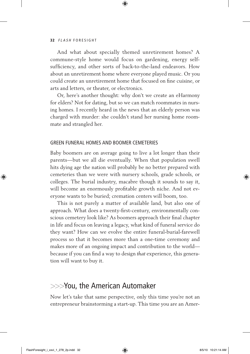And what about specially themed unretirement homes? A commune-style home would focus on gardening, energy selfsufficiency, and other sorts of back-to-the-land endeavors. How about an unretirement home where everyone played music. Or you could create an unretirement home that focused on fine cuisine, or arts and letters, or theater, or electronics.

Or, here's another thought: why don't we create an eHarmony for elders? Not for dating, but so we can match roommates in nursing homes. I recently heard in the news that an elderly person was charged with murder: she couldn't stand her nursing home roommate and strangled her.

#### GREEN FUNERAL HOMES AND BOOMER CEMETERIES

Baby boomers are on average going to live a lot longer than their parents— but we all die eventually. When that population swell hits dying age the nation will probably be no better prepared with cemeteries than we were with nursery schools, grade schools, or colleges. The burial industry, macabre though it sounds to say it, will become an enormously profitable growth niche. And not everyone wants to be buried; cremation centers will boom, too.

This is not purely a matter of available land, but also one of approach. What does a twenty-first-century, environmentally conscious cemetery look like? As boomers approach their final chapter in life and focus on leaving a legacy, what kind of funeral service do they want? How can we evolve the entire funeral-burial-farewell process so that it becomes more than a one-time ceremony and makes more of an ongoing impact and contribution to the world because if you can find a way to design *that* experience, this generation will want to buy it.

#### >>>You, the American Automaker

Now let's take that same perspective, only this time you're not an entrepreneur brainstorming a start-up. This time you are an Amer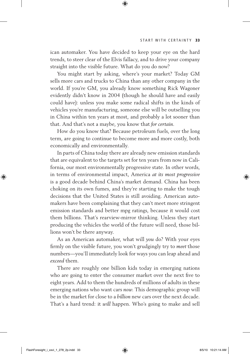ican automaker. You have decided to keep your eye on the hard trends, to steer clear of the Elvis fallacy, and to drive your company straight into the visible future. What do you do now?

You might start by asking, where's your market? Today GM sells more cars and trucks to China than any other company in the world. If you're GM, you already know something Rick Wagoner evidently didn't know in 2004 (though he should have and easily could have): unless you make some radical shifts in the kinds of vehicles you're manufacturing, someone else will be outselling you in China within ten years at most, and probably a lot sooner than that. And that's not a maybe, you know that *for certain*.

How do you know that? Because petroleum fuels, over the long term, are going to continue to become more and more costly, both economically and environmentally.

In parts of China today there are already new emission standards that are equivalent to the targets set for ten years from now in California, our most environmentally progressive state. In other words, in terms of environmental impact, America *at its most progressive*  is a good decade behind China's market demand. China has been choking on its own fumes, and they're starting to make the tough decisions that the United States is still avoiding. American automakers have been complaining that they can't meet more stringent emission standards and better mpg ratings, because it would cost them billions. That's rearview-mirror thinking. Unless they start producing the vehicles the world of the future will need, those billions won't be there anyway.

As an American automaker, what will *you* do? With your eyes firmly on the visible future, you won't grudgingly try to *meet* those numbers— you'll immediately look for ways you can leap ahead and *exceed* them.

There are roughly one billion kids today in emerging nations who are going to enter the consumer market over the next five to eight years. Add to them the hundreds of millions of adults in these emerging nations who want cars *now*. This demographic group will be in the market for close to a *billion* new cars over the next decade. That's a hard trend: it *will* happen. Who's going to make and sell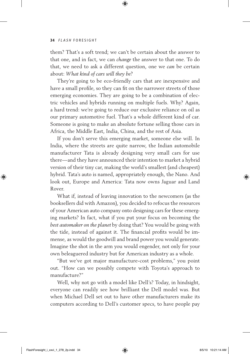them? That's a soft trend; we can't be certain about the answer to that one, and in fact, we can *change* the answer to that one. To do that, we need to ask a different question, one we *can* be certain about: *What kind of cars will they be?*

They're going to be eco-friendly cars that are inexpensive and have a small profile, so they can fit on the narrower streets of those emerging economies. They are going to be a combination of electric vehicles and hybrids running on multiple fuels. Why? Again, a hard trend: we're going to reduce our exclusive reliance on oil as our primary automotive fuel. That's a whole different kind of car. Someone is going to make an absolute fortune selling those cars in Africa, the Middle East, India, China, and the rest of Asia.

If you don't serve this emerging market, someone else will. In India, where the streets are quite narrow, the Indian automobile manufacturer Tata is already designing very small cars for use there— and they have announced their intention to market a hybrid version of their tiny car, making the world's smallest (and cheapest) hybrid. Tata's auto is named, appropriately enough, the Nano. And look out, Europe and America: Tata now owns Jaguar and Land Rover.

What if, instead of leaving innovation to the newcomers (as the booksellers did with Amazon), you decided to refocus the resources of your American auto company onto designing cars for these emerging markets? In fact, what if you put your focus on becoming the *best automaker on the planet* by doing that? You would be going with the tide, instead of against it. The financial profits would be immense, as would the goodwill and brand power you would generate. Imagine the shot in the arm you would engender, not only for your own beleaguered industry but for American industry as a whole.

"But we've got major manufacture- cost problems," you point out. "How can we possibly compete with Toyota's approach to manufacture?"

Well, why not go with a model like Dell's? Today, in hindsight, everyone can readily see how brilliant the Dell model was. But when Michael Dell set out to have other manufacturers make its computers according to Dell's customer specs, to have people pay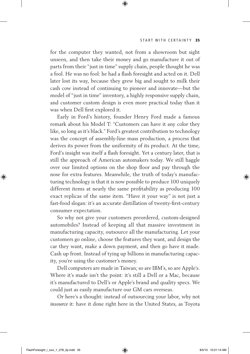for the computer they wanted, not from a showroom but sight unseen, and then take their money and go manufacture it out of parts from their "just in time" supply chain, people thought he was a fool. He was no fool: he had a flash foresight and acted on it. Dell later lost its way, because they grew big and sought to milk their cash cow instead of continuing to pioneer and innovate— but the model of "just in time" inventory, a highly responsive supply chain, and customer custom design is even more practical today than it was when Dell first explored it.

Early in Ford's history, founder Henry Ford made a famous remark about his Model T: "Customers can have it any color they like, so long as it's black." Ford's greatest contribution to technology was the concept of assembly-line mass production, a process that derives its power from the uniformity of its product. At the time, Ford's insight was itself a flash foresight. Yet a century later, that is still the approach of American automakers today. We still haggle over our limited options on the shop floor and pay through the nose for extra features. Meanwhile, the truth of today's manufacturing technology is that it is now possible to produce 100 uniquely different items at nearly the same profitability as producing 100 exact replicas of the same item. "Have it your way" is not just a fast-food slogan: it's an accurate distillation of twenty-first-century consumer expectation.

So why not give your customers preordered, custom- designed automobiles? Instead of keeping all that massive investment in manufacturing capacity, outsource all the manufacturing. Let your customers go online, choose the features they want, and design the car they want, make a down payment, and then go have it made. Cash up front. Instead of tying up billions in manufacturing capacity, you're using the customer's money.

Dell computers are made in Taiwan; so are IBM's, so are Apple's. Where it's made isn't the point: it's still a Dell or a Mac, because it's manufactured to Dell's or Apple's brand and quality specs. We could just as easily manufacture our GM cars overseas.

Or here's a thought: instead of outsourcing your labor, why not *insource* it: have it done right here in the United States, as Toyota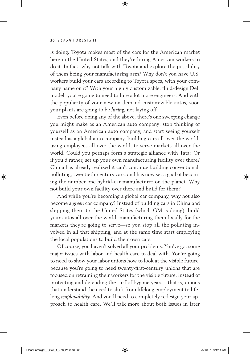is doing. Toyota makes most of the cars for the American market here in the United States, and they're hiring American workers to do it. In fact, why not talk with Toyota and explore the possibility of them being your manufacturing arm? Why don't you have U.S. workers build your cars according to Toyota specs, with your company name on it? With your highly customizable, fluid-design Dell model, you're going to need to hire a lot more engineers. And with the popularity of your new on- demand customizable autos, soon your plants are going to be *hiring*, not laying off.

Even before doing any of the above, there's one sweeping change you might make as an American auto company: stop thinking of yourself as an American auto company, and start seeing yourself instead as a global auto company, building cars all over the world, using employees all over the world, to serve markets all over the world. Could you perhaps form a strategic alliance with Tata? Or if you'd rather, set up your own manufacturing facility over there? China has already realized it can't continue building conventional, polluting, twentieth- century cars, and has now set a goal of becoming the number one hybrid-car manufacturer on the planet. Why not build your own facility over there and build for them?

And while you're becoming a global car company, why not also become a *green* car company? Instead of building cars in China and shipping them to the United States (which GM is doing), build your autos all over the world, manufacturing them locally for the markets they're going to serve— so you stop all the polluting involved in all that shipping, and at the same time start employing the local populations to build their own cars.

Of course, you haven't solved all your problems. You've got some major issues with labor and health care to deal with. You're going to need to show your labor unions how to look at the visible future, because you're going to need twenty-first-century unions that are focused on retraining their workers for the visible future, instead of protecting and defending the turf of bygone years— that is, unions that understand the need to shift from lifelong employment to lifelong *employability*. And you'll need to completely redesign your approach to health care. We'll talk more about both issues in later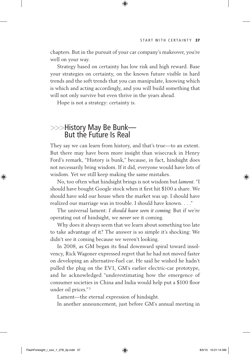chapters. But in the pursuit of your car company's makeover, you're well on your way.

Strategy based on certainty has low risk and high reward. Base your strategies on certainty, on the known future visible in hard trends and the soft trends that you can manipulate, knowing which is which and acting accordingly, and you will build something that will not only survive but even thrive in the years ahead.

Hope is not a strategy: certainty is.

#### >>>History May Be Bunk— But the Future Is Real

They say we can learn from history, and that's true— to an extent. But there may have been more insight than wisecrack in Henry Ford's remark, "History is bunk," because, in fact, hindsight does not necessarily bring wisdom. If it did, everyone would have lots of wisdom. Yet we still keep making the same mistakes.

No, too often what hindsight brings is not wisdom but *lament*. "I should have bought Google stock when it first hit \$100 a share. We should have sold our house when the market was up. I should have realized our marriage was in trouble. I should have known. . . ."

The universal lament: *I should have seen it coming.* But if we're operating out of hindsight, we *never* see it coming.

Why does it always seem that we learn about something too late to take advantage of it? The answer is so simple it's shocking: We didn't see it coming because we weren't looking.

In 2008, as GM began its final downward spiral toward insolvency, Rick Wagoner expressed regret that he had not moved faster on developing an alternative-fuel car. He said he wished he hadn't pulled the plug on the EV1, GM's earlier electric-car prototype, and he acknowledged "underestimating how the emergence of consumer societies in China and India would help put a \$100 floor under oil prices." <sup>3</sup>

Lament—the eternal expression of hindsight.

In another announcement, just before GM's annual meeting in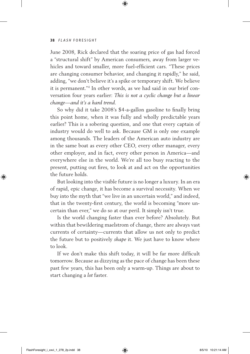June 2008, Rick declared that the soaring price of gas had forced a "structural shift" by American consumers, away from larger vehicles and toward smaller, more fuel-efficient cars. "These prices are changing consumer behavior, and changing it rapidly," he said, adding, "we don't believe it's a spike or temporary shift. We believe it is permanent."4 In other words, as we had said in our brief conversation four years earlier: *This is not a cyclic change but a linear change— and it's a hard trend.*

So why did it take 2008's \$4-a-gallon gasoline to finally bring this point home, when it was fully and wholly predictable years earlier? This is a sobering question, and one that every captain of industry would do well to ask. Because GM is only one example among thousands. The leaders of the American auto industry are in the same boat as every other CEO, every other manager, every other employer, and in fact, every other person in America— and everywhere else in the world. We're all too busy reacting to the present, putting out fires, to look at and act on the opportunities the future holds.

But looking into the visible future is no longer a luxury. In an era of rapid, epic change, it has become a survival necessity. When we buy into the myth that "we live in an uncertain world," and indeed, that in the twenty-first century, the world is becoming "more uncertain than ever," we do so at our peril. It simply isn't true.

Is the world changing faster than ever before? Absolutely. But within that bewildering maelstrom of change, there are always vast currents of certainty— currents that allow us not only to predict the future but to positively *shape* it. We just have to know where to look.

If we don't make this shift today, it will be far more difficult tomorrow. Because as dizzying as the pace of change has been these past few years, this has been only a warm-up. Things are about to start changing a *lot* faster.